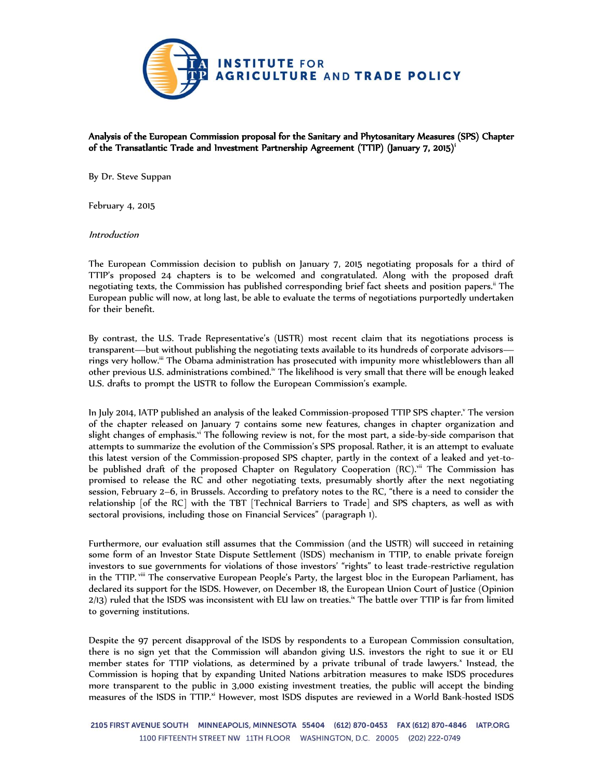

Analysis of the European Commission proposal for the Sanitary and Phytosanitary Measures (SPS) Chapter of the Transatlantic Trade and Investment Partnership Agreement (TTIP) (January 7, 2015)<sup>i</sup>

By Dr. Steve Suppan

February 4, 2015

Introduction

The European Commission decision to publish on January 7, 2015 negotiating proposals for a third of TTIP's proposed 24 chapters is to be welcomed and congratulated. Along with the proposed draft negotiating texts, the Commission has published corresponding brief fact sheets and position papers.<sup>ii</sup> The European public will now, at long last, be able to evaluate the terms of negotiations purportedly undertaken for their benefit.

By contrast, the U.S. Trade Representative's (USTR) most recent claim that its negotiations process is transparent—but without publishing the negotiating texts available to its hundreds of corporate advisors rings very hollow.<sup>iii</sup> The Obama administration has prosecuted with impunity more whistleblowers than all other previous U.S. administrations combined.<sup>iv</sup> The likelihood is very small that there will be enough leaked U.S. drafts to prompt the USTR to follow the European Commission's example.

In July 2014, IATP published an analysis of the leaked Commission-proposed TTIP SPS chapter.<sup>y</sup> The version of the chapter released on January 7 contains some new features, changes in chapter organization and slight changes of emphasis.<sup>vi</sup> The following review is not, for the most part, a side-by-side comparison that attempts to summarize the evolution of the Commission's SPS proposal. Rather, it is an attempt to evaluate this latest version of the Commission-proposed SPS chapter, partly in the context of a leaked and yet-tobe published draft of the proposed Chapter on Regulatory Cooperation (RC).<sup>vii</sup> The Commission has promised to release the RC and other negotiating texts, presumably shortly after the next negotiating session, February 2–6, in Brussels. According to prefatory notes to the RC, "there is a need to consider the relationship [of the RC] with the TBT [Technical Barriers to Trade] and SPS chapters, as well as with sectoral provisions, including those on Financial Services" (paragraph 1).

Furthermore, our evaluation still assumes that the Commission (and the USTR) will succeed in retaining some form of an Investor State Dispute Settlement (ISDS) mechanism in TTIP, to enable private foreign investors to sue governments for violations of those investors' "rights" to least trade-restrictive regulation in the TTIP. viii The conservative European People's Party, the largest bloc in the European Parliament, has declared its support for the ISDS. However, on December 18, the European Union Court of Justice (Opinion 2/13) ruled that the ISDS was inconsistent with EU law on treaties.<sup>ix</sup> The battle over TTIP is far from limited to governing institutions.

Despite the 97 percent disapproval of the ISDS by respondents to a European Commission consultation, there is no sign yet that the Commission will abandon giving U.S. investors the right to sue it or EU member states for TTIP violations, as determined by a private tribunal of trade lawyers.<sup>x</sup> Instead, the Commission is hoping that by expanding United Nations arbitration measures to make ISDS procedures more transparent to the public in 3,000 existing investment treaties, the public will accept the binding measures of the ISDS in TTIP.<sup>xi</sup> However, most ISDS disputes are reviewed in a World Bank-hosted ISDS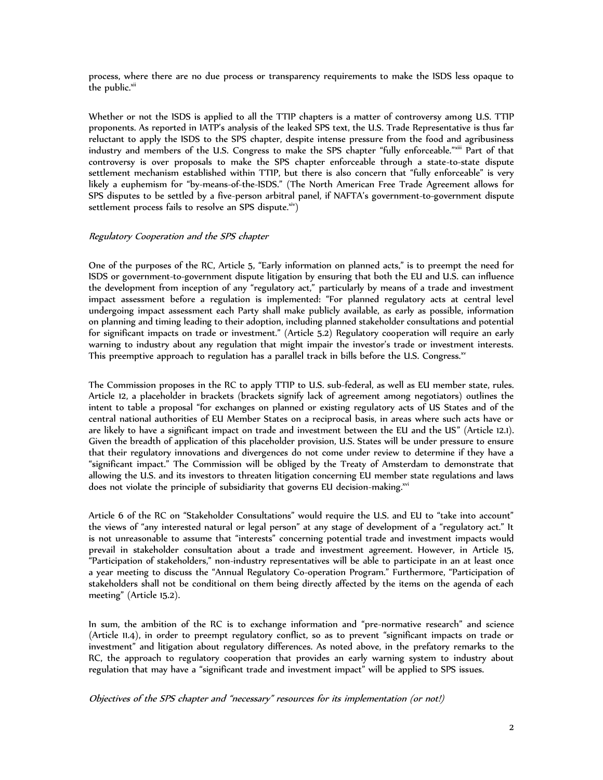process, where there are no due process or transparency requirements to make the ISDS less opaque to the public.<sup>xii</sup>

Whether or not the ISDS is applied to all the TTIP chapters is a matter of controversy among U.S. TTIP proponents. As reported in IATP's analysis of the leaked SPS text, the U.S. Trade Representative is thus far reluctant to apply the ISDS to the SPS chapter, despite intense pressure from the food and agribusiness industry and members of the U.S. Congress to make the SPS chapter "fully enforceable."xiii Part of that controversy is over proposals to make the SPS chapter enforceable through a state-to-state dispute settlement mechanism established within TTIP, but there is also concern that "fully enforceable" is very likely a euphemism for "by-means-of-the-ISDS." (The North American Free Trade Agreement allows for SPS disputes to be settled by a five-person arbitral panel, if NAFTA's government-to-government dispute settlement process fails to resolve an SPS dispute.<sup>xiv</sup>)

# Regulatory Cooperation and the SPS chapter

One of the purposes of the RC, Article 5, "Early information on planned acts," is to preempt the need for ISDS or government-to-government dispute litigation by ensuring that both the EU and U.S. can influence the development from inception of any "regulatory act," particularly by means of a trade and investment impact assessment before a regulation is implemented: "For planned regulatory acts at central level undergoing impact assessment each Party shall make publicly available, as early as possible, information on planning and timing leading to their adoption, including planned stakeholder consultations and potential for significant impacts on trade or investment." (Article 5.2) Regulatory cooperation will require an early warning to industry about any regulation that might impair the investor's trade or investment interests. This preemptive approach to regulation has a parallel track in bills before the U.S. Congress. $^{\rm w}$ 

The Commission proposes in the RC to apply TTIP to U.S. sub-federal, as well as EU member state, rules. Article 12, a placeholder in brackets (brackets signify lack of agreement among negotiators) outlines the intent to table a proposal "for exchanges on planned or existing regulatory acts of US States and of the central national authorities of EU Member States on a reciprocal basis, in areas where such acts have or are likely to have a significant impact on trade and investment between the EU and the US" (Article 12.1). Given the breadth of application of this placeholder provision, U.S. States will be under pressure to ensure that their regulatory innovations and divergences do not come under review to determine if they have a "significant impact." The Commission will be obliged by the Treaty of Amsterdam to demonstrate that allowing the U.S. and its investors to threaten litigation concerning EU member state regulations and laws does not violate the principle of subsidiarity that governs EU decision-making.<sup>xvi</sup>

Article 6 of the RC on "Stakeholder Consultations" would require the U.S. and EU to "take into account" the views of "any interested natural or legal person" at any stage of development of a "regulatory act." It is not unreasonable to assume that "interests" concerning potential trade and investment impacts would prevail in stakeholder consultation about a trade and investment agreement. However, in Article 15, "Participation of stakeholders," non-industry representatives will be able to participate in an at least once a year meeting to discuss the "Annual Regulatory Co-operation Program." Furthermore, "Participation of stakeholders shall not be conditional on them being directly affected by the items on the agenda of each meeting" (Article 15.2).

In sum, the ambition of the RC is to exchange information and "pre-normative research" and science (Article 11.4), in order to preempt regulatory conflict, so as to prevent "significant impacts on trade or investment" and litigation about regulatory differences. As noted above, in the prefatory remarks to the RC, the approach to regulatory cooperation that provides an early warning system to industry about regulation that may have a "significant trade and investment impact" will be applied to SPS issues.

Objectives of the SPS chapter and "necessary" resources for its implementation (or not!)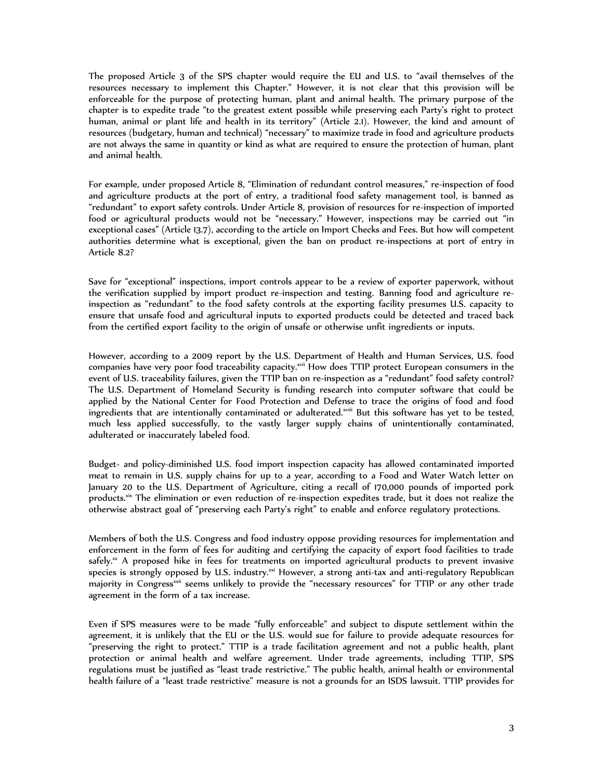The proposed Article 3 of the SPS chapter would require the EU and U.S. to "avail themselves of the resources necessary to implement this Chapter." However, it is not clear that this provision will be enforceable for the purpose of protecting human, plant and animal health. The primary purpose of the chapter is to expedite trade "to the greatest extent possible while preserving each Party's right to protect human, animal or plant life and health in its territory" (Article 2.1). However, the kind and amount of resources (budgetary, human and technical) "necessary" to maximize trade in food and agriculture products are not always the same in quantity or kind as what are required to ensure the protection of human, plant and animal health.

For example, under proposed Article 8, "Elimination of redundant control measures," re-inspection of food and agriculture products at the port of entry, a traditional food safety management tool, is banned as "redundant" to export safety controls. Under Article 8, provision of resources for re-inspection of imported food or agricultural products would not be "necessary." However, inspections may be carried out "in exceptional cases" (Article 13.7), according to the article on Import Checks and Fees. But how will competent authorities determine what is exceptional, given the ban on product re-inspections at port of entry in Article 8.2?

Save for "exceptional" inspections, import controls appear to be a review of exporter paperwork, without the verification supplied by import product re-inspection and testing. Banning food and agriculture reinspection as "redundant" to the food safety controls at the exporting facility presumes U.S. capacity to ensure that unsafe food and agricultural inputs to exported products could be detected and traced back from the certified export facility to the origin of unsafe or otherwise unfit ingredients or inputs.

However, according to a 2009 report by the U.S. Department of Health and Human Services, U.S. food companies have very poor food traceability capacity.<sup>xvii</sup> How does TTIP protect European consumers in the event of U.S. traceability failures, given the TTIP ban on re-inspection as a "redundant" food safety control? The U.S. Department of Homeland Security is funding research into computer software that could be applied by the National Center for Food Protection and Defense to trace the origins of food and food ingredients that are intentionally contaminated or adulterated.<sup>xviii</sup> But this software has yet to be tested, much less applied successfully, to the vastly larger supply chains of unintentionally contaminated, adulterated or inaccurately labeled food.

Budget- and policy-diminished U.S. food import inspection capacity has allowed contaminated imported meat to remain in U.S. supply chains for up to a year, according to a Food and Water Watch letter on January 20 to the U.S. Department of Agriculture, citing a recall of 170,000 pounds of imported pork products.<sup>xix</sup> The elimination or even reduction of re-inspection expedites trade, but it does not realize the otherwise abstract goal of "preserving each Party's right" to enable and enforce regulatory protections.

Members of both the U.S. Congress and food industry oppose providing resources for implementation and enforcement in the form of fees for auditing and certifying the capacity of export food facilities to trade safely. $\alpha$  A proposed hike in fees for treatments on imported agricultural products to prevent invasive species is strongly opposed by U.S. industry.<sup>xxi</sup> However, a strong anti-tax and anti-regulatory Republican majority in Congress<sup>xxii</sup> seems unlikely to provide the "necessary resources" for TTIP or any other trade agreement in the form of a tax increase.

Even if SPS measures were to be made "fully enforceable" and subject to dispute settlement within the agreement, it is unlikely that the EU or the U.S. would sue for failure to provide adequate resources for "preserving the right to protect." TTIP is a trade facilitation agreement and not a public health, plant protection or animal health and welfare agreement. Under trade agreements, including TTIP, SPS regulations must be justified as "least trade restrictive." The public health, animal health or environmental health failure of a "least trade restrictive" measure is not a grounds for an ISDS lawsuit. TTIP provides for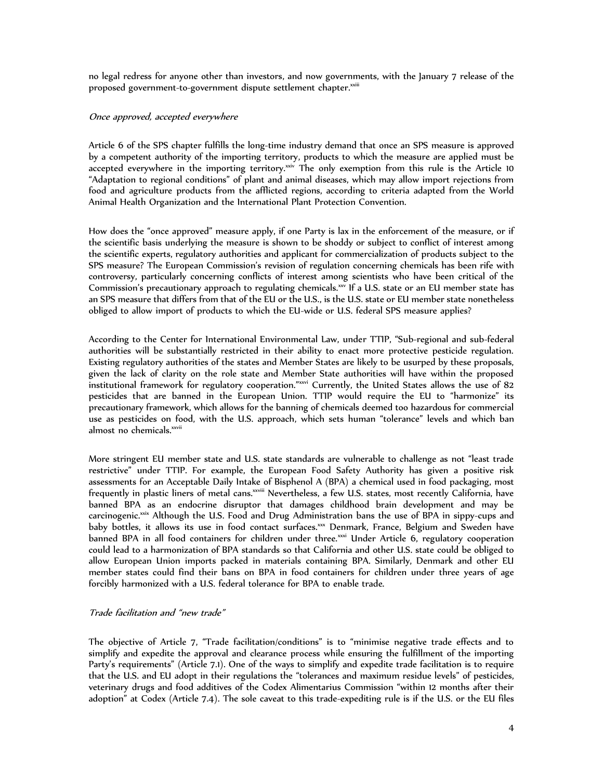no legal redress for anyone other than investors, and now governments, with the January 7 release of the proposed government-to-government dispute settlement chapter.<sup>xxiii</sup>

# Once approved, accepted everywhere

Article 6 of the SPS chapter fulfills the long-time industry demand that once an SPS measure is approved by a competent authority of the importing territory, products to which the measure are applied must be accepted everywhere in the importing territory.<sup>xxiv</sup> The only exemption from this rule is the Article 10 "Adaptation to regional conditions" of plant and animal diseases, which may allow import rejections from food and agriculture products from the afflicted regions, according to criteria adapted from the World Animal Health Organization and the International Plant Protection Convention.

How does the "once approved" measure apply, if one Party is lax in the enforcement of the measure, or if the scientific basis underlying the measure is shown to be shoddy or subject to conflict of interest among the scientific experts, regulatory authorities and applicant for commercialization of products subject to the SPS measure? The European Commission's revision of regulation concerning chemicals has been rife with controversy, particularly concerning conflicts of interest among scientists who have been critical of the Commission's precautionary approach to regulating chemicals. $x^2$  If a U.S. state or an EU member state has an SPS measure that differs from that of the EU or the U.S., is the U.S. state or EU member state nonetheless obliged to allow import of products to which the EU-wide or U.S. federal SPS measure applies?

According to the Center for International Environmental Law, under TTIP, "Sub-regional and sub-federal authorities will be substantially restricted in their ability to enact more protective pesticide regulation. Existing regulatory authorities of the states and Member States are likely to be usurped by these proposals, given the lack of clarity on the role state and Member State authorities will have within the proposed institutional framework for regulatory cooperation."xxvi Currently, the United States allows the use of 82 pesticides that are banned in the European Union. TTIP would require the EU to "harmonize" its precautionary framework, which allows for the banning of chemicals deemed too hazardous for commercial use as pesticides on food, with the U.S. approach, which sets human "tolerance" levels and which ban almost no chemicals.<sup>xxvii</sup>

More stringent EU member state and U.S. state standards are vulnerable to challenge as not "least trade restrictive" under TTIP. For example, the European Food Safety Authority has given a positive risk assessments for an Acceptable Daily Intake of Bisphenol A (BPA) a chemical used in food packaging, most frequently in plastic liners of metal cans.<sup>xxviii</sup> Nevertheless, a few U.S. states, most recently California, have banned BPA as an endocrine disruptor that damages childhood brain development and may be carcinogenic.<sup>xxix</sup> Although the U.S. Food and Drug Administration bans the use of BPA in sippy-cups and baby bottles, it allows its use in food contact surfaces.<sup>xx</sup> Denmark, France, Belgium and Sweden have banned BPA in all food containers for children under three.<sup>xxxi</sup> Under Article 6, regulatory cooperation could lead to a harmonization of BPA standards so that California and other U.S. state could be obliged to allow European Union imports packed in materials containing BPA. Similarly, Denmark and other EU member states could find their bans on BPA in food containers for children under three years of age forcibly harmonized with a U.S. federal tolerance for BPA to enable trade.

# Trade facilitation and "new trade"

The objective of Article 7, "Trade facilitation/conditions" is to "minimise negative trade effects and to simplify and expedite the approval and clearance process while ensuring the fulfillment of the importing Party's requirements" (Article 7.1). One of the ways to simplify and expedite trade facilitation is to require that the U.S. and EU adopt in their regulations the "tolerances and maximum residue levels" of pesticides, veterinary drugs and food additives of the Codex Alimentarius Commission "within 12 months after their adoption" at Codex (Article 7.4). The sole caveat to this trade-expediting rule is if the U.S. or the EU files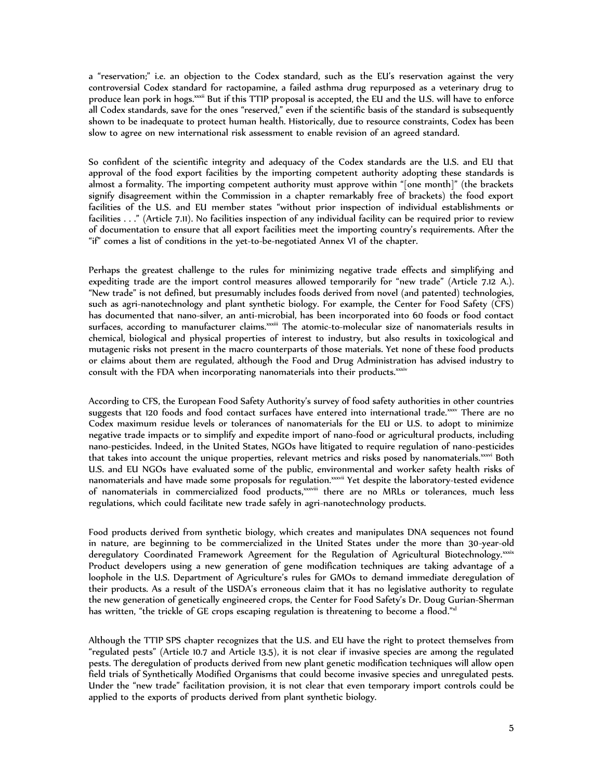a "reservation;" i.e. an objection to the Codex standard, such as the EU's reservation against the very controversial Codex standard for ractopamine, a failed asthma drug repurposed as a veterinary drug to produce lean pork in hogs.<sup>xxii</sup> But if this TTIP proposal is accepted, the EU and the U.S. will have to enforce all Codex standards, save for the ones "reserved," even if the scientific basis of the standard is subsequently shown to be inadequate to protect human health. Historically, due to resource constraints, Codex has been slow to agree on new international risk assessment to enable revision of an agreed standard.

So confident of the scientific integrity and adequacy of the Codex standards are the U.S. and EU that approval of the food export facilities by the importing competent authority adopting these standards is almost a formality. The importing competent authority must approve within "[one month]" (the brackets signify disagreement within the Commission in a chapter remarkably free of brackets) the food export facilities of the U.S. and EU member states "without prior inspection of individual establishments or facilities . . ." (Article 7.11). No facilities inspection of any individual facility can be required prior to review of documentation to ensure that all export facilities meet the importing country's requirements. After the "if" comes a list of conditions in the yet-to-be-negotiated Annex VI of the chapter.

Perhaps the greatest challenge to the rules for minimizing negative trade effects and simplifying and expediting trade are the import control measures allowed temporarily for "new trade" (Article 7.12 A.). "New trade" is not defined, but presumably includes foods derived from novel (and patented) technologies, such as agri-nanotechnology and plant synthetic biology. For example, the Center for Food Safety (CFS) has documented that nano-silver, an anti-microbial, has been incorporated into 60 foods or food contact surfaces, according to manufacturer claims. xxxiii The atomic-to-molecular size of nanomaterials results in chemical, biological and physical properties of interest to industry, but also results in toxicological and mutagenic risks not present in the macro counterparts of those materials. Yet none of these food products or claims about them are regulated, although the Food and Drug Administration has advised industry to consult with the FDA when incorporating nanomaterials into their products.<sup>xxiv</sup>

According to CFS, the European Food Safety Authority's survey of food safety authorities in other countries suggests that 120 foods and food contact surfaces have entered into international trade.<sup>xxx</sup> There are no Codex maximum residue levels or tolerances of nanomaterials for the EU or U.S. to adopt to minimize negative trade impacts or to simplify and expedite import of nano-food or agricultural products, including nano-pesticides. Indeed, in the United States, NGOs have litigated to require regulation of nano-pesticides that takes into account the unique properties, relevant metrics and risks posed by nanomaterials.<sup>xxxi</sup> Both U.S. and EU NGOs have evaluated some of the public, environmental and worker safety health risks of nanomaterials and have made some proposals for regulation.<sup>xxvii</sup> Yet despite the laboratory-tested evidence of nanomaterials in commercialized food products,<sup>xxxvii</sup> there are no MRLs or tolerances, much less regulations, which could facilitate new trade safely in agri-nanotechnology products.

Food products derived from synthetic biology, which creates and manipulates DNA sequences not found in nature, are beginning to be commercialized in the United States under the more than 30-year-old deregulatory Coordinated Framework Agreement for the Regulation of Agricultural Biotechnology.<sup>xxix</sup> Product developers using a new generation of gene modification techniques are taking advantage of a loophole in the U.S. Department of Agriculture's rules for GMOs to demand immediate deregulation of their products. As a result of the USDA's erroneous claim that it has no legislative authority to regulate the new generation of genetically engineered crops, the Center for Food Safety's Dr. Doug Gurian-Sherman has written, "the trickle of GE crops escaping regulation is threatening to become a flood."<sup>xl</sup>

Although the TTIP SPS chapter recognizes that the U.S. and EU have the right to protect themselves from "regulated pests" (Article 10.7 and Article 13.5), it is not clear if invasive species are among the regulated pests. The deregulation of products derived from new plant genetic modification techniques will allow open field trials of Synthetically Modified Organisms that could become invasive species and unregulated pests. Under the "new trade" facilitation provision, it is not clear that even temporary import controls could be applied to the exports of products derived from plant synthetic biology.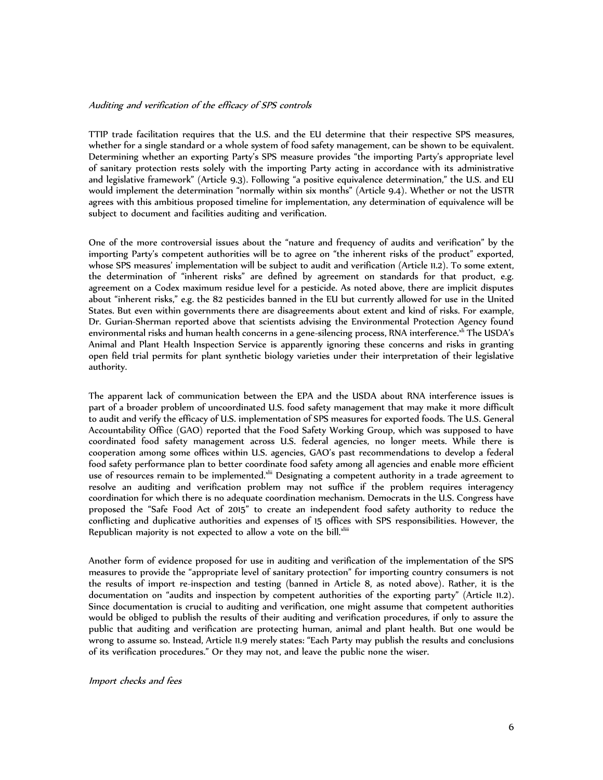### Auditing and verification of the efficacy of SPS controls

TTIP trade facilitation requires that the U.S. and the EU determine that their respective SPS measures, whether for a single standard or a whole system of food safety management, can be shown to be equivalent. Determining whether an exporting Party's SPS measure provides "the importing Party's appropriate level of sanitary protection rests solely with the importing Party acting in accordance with its administrative and legislative framework" (Article 9.3). Following "a positive equivalence determination," the U.S. and EU would implement the determination "normally within six months" (Article 9.4). Whether or not the USTR agrees with this ambitious proposed timeline for implementation, any determination of equivalence will be subject to document and facilities auditing and verification.

One of the more controversial issues about the "nature and frequency of audits and verification" by the importing Party's competent authorities will be to agree on "the inherent risks of the product" exported, whose SPS measures' implementation will be subject to audit and verification (Article 11.2). To some extent, the determination of "inherent risks" are defined by agreement on standards for that product, e.g. agreement on a Codex maximum residue level for a pesticide. As noted above, there are implicit disputes about "inherent risks," e.g. the 82 pesticides banned in the EU but currently allowed for use in the United States. But even within governments there are disagreements about extent and kind of risks. For example, Dr. Gurian-Sherman reported above that scientists advising the Environmental Protection Agency found environmental risks and human health concerns in a gene-silencing process, RNA interference.<sup>xli</sup> The USDA's Animal and Plant Health Inspection Service is apparently ignoring these concerns and risks in granting open field trial permits for plant synthetic biology varieties under their interpretation of their legislative authority.

The apparent lack of communication between the EPA and the USDA about RNA interference issues is part of a broader problem of uncoordinated U.S. food safety management that may make it more difficult to audit and verify the efficacy of U.S. implementation of SPS measures for exported foods. The U.S. General Accountability Office (GAO) reported that the Food Safety Working Group, which was supposed to have coordinated food safety management across U.S. federal agencies, no longer meets. While there is cooperation among some offices within U.S. agencies, GAO's past recommendations to develop a federal food safety performance plan to better coordinate food safety among all agencies and enable more efficient use of resources remain to be implemented.<sup>xlii</sup> Designating a competent authority in a trade agreement to resolve an auditing and verification problem may not suffice if the problem requires interagency coordination for which there is no adequate coordination mechanism. Democrats in the U.S. Congress have proposed the "Safe Food Act of 2015" to create an independent food safety authority to reduce the conflicting and duplicative authorities and expenses of 15 offices with SPS responsibilities. However, the Republican majority is not expected to allow a vote on the bill. xliii

Another form of evidence proposed for use in auditing and verification of the implementation of the SPS measures to provide the "appropriate level of sanitary protection" for importing country consumers is not the results of import re-inspection and testing (banned in Article 8, as noted above). Rather, it is the documentation on "audits and inspection by competent authorities of the exporting party" (Article 11.2). Since documentation is crucial to auditing and verification, one might assume that competent authorities would be obliged to publish the results of their auditing and verification procedures, if only to assure the public that auditing and verification are protecting human, animal and plant health. But one would be wrong to assume so. Instead, Article 11.9 merely states: "Each Party may publish the results and conclusions of its verification procedures." Or they may not, and leave the public none the wiser.

Import checks and fees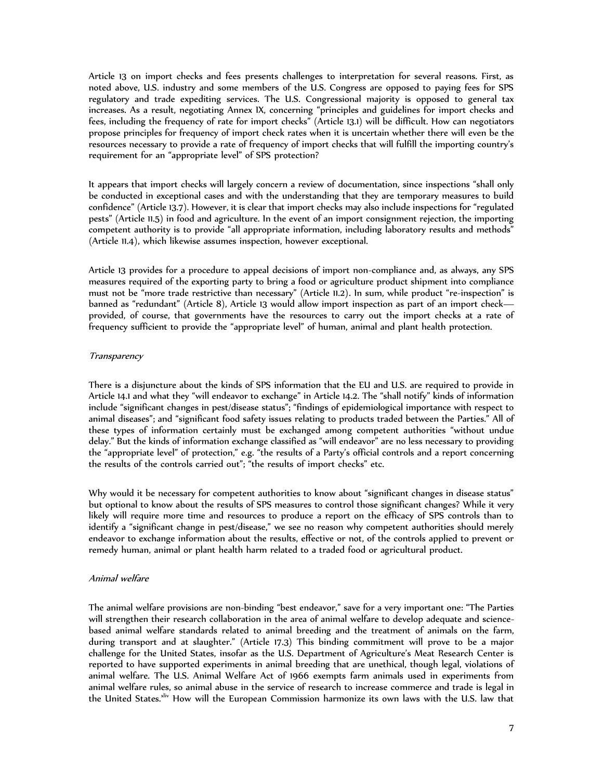Article 13 on import checks and fees presents challenges to interpretation for several reasons. First, as noted above, U.S. industry and some members of the U.S. Congress are opposed to paying fees for SPS regulatory and trade expediting services. The U.S. Congressional majority is opposed to general tax increases. As a result, negotiating Annex IX, concerning "principles and guidelines for import checks and fees, including the frequency of rate for import checks" (Article 13.1) will be difficult. How can negotiators propose principles for frequency of import check rates when it is uncertain whether there will even be the resources necessary to provide a rate of frequency of import checks that will fulfill the importing country's requirement for an "appropriate level" of SPS protection?

It appears that import checks will largely concern a review of documentation, since inspections "shall only be conducted in exceptional cases and with the understanding that they are temporary measures to build confidence" (Article 13.7). However, it is clear that import checks may also include inspections for "regulated pests" (Article 11.5) in food and agriculture. In the event of an import consignment rejection, the importing competent authority is to provide "all appropriate information, including laboratory results and methods" (Article 11.4), which likewise assumes inspection, however exceptional.

Article 13 provides for a procedure to appeal decisions of import non-compliance and, as always, any SPS measures required of the exporting party to bring a food or agriculture product shipment into compliance must not be "more trade restrictive than necessary" (Article 11.2). In sum, while product "re-inspection" is banned as "redundant" (Article 8), Article 13 would allow import inspection as part of an import check provided, of course, that governments have the resources to carry out the import checks at a rate of frequency sufficient to provide the "appropriate level" of human, animal and plant health protection.

### **Transparency**

There is a disjuncture about the kinds of SPS information that the EU and U.S. are required to provide in Article 14.1 and what they "will endeavor to exchange" in Article 14.2. The "shall notify" kinds of information include "significant changes in pest/disease status"; "findings of epidemiological importance with respect to animal diseases"; and "significant food safety issues relating to products traded between the Parties." All of these types of information certainly must be exchanged among competent authorities "without undue delay." But the kinds of information exchange classified as "will endeavor" are no less necessary to providing the "appropriate level" of protection," e.g. "the results of a Party's official controls and a report concerning the results of the controls carried out"; "the results of import checks" etc.

Why would it be necessary for competent authorities to know about "significant changes in disease status" but optional to know about the results of SPS measures to control those significant changes? While it very likely will require more time and resources to produce a report on the efficacy of SPS controls than to identify a "significant change in pest/disease," we see no reason why competent authorities should merely endeavor to exchange information about the results, effective or not, of the controls applied to prevent or remedy human, animal or plant health harm related to a traded food or agricultural product.

### Animal welfare

The animal welfare provisions are non-binding "best endeavor," save for a very important one: "The Parties will strengthen their research collaboration in the area of animal welfare to develop adequate and sciencebased animal welfare standards related to animal breeding and the treatment of animals on the farm, during transport and at slaughter." (Article 17.3) This binding commitment will prove to be a major challenge for the United States, insofar as the U.S. Department of Agriculture's Meat Research Center is reported to have supported experiments in animal breeding that are unethical, though legal, violations of animal welfare. The U.S. Animal Welfare Act of 1966 exempts farm animals used in experiments from animal welfare rules, so animal abuse in the service of research to increase commerce and trade is legal in the United States.<sup>xliv</sup> How will the European Commission harmonize its own laws with the U.S. law that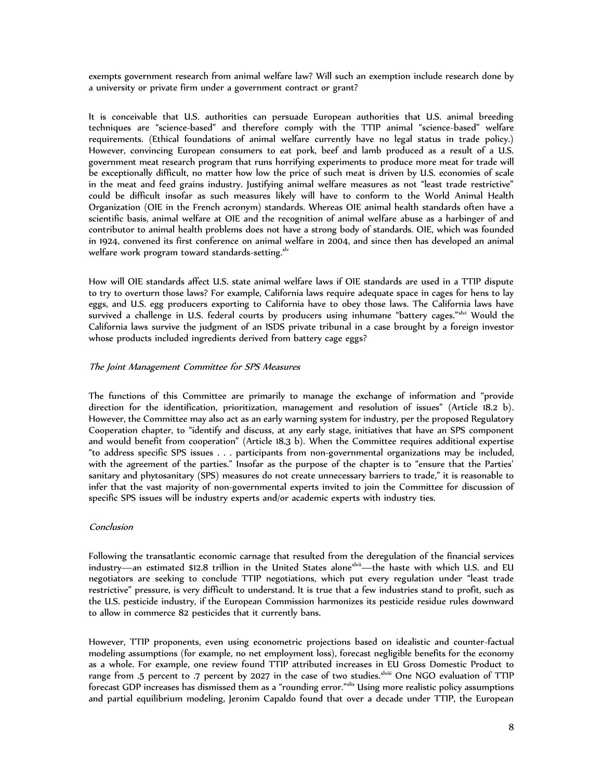exempts government research from animal welfare law? Will such an exemption include research done by a university or private firm under a government contract or grant?

It is conceivable that U.S. authorities can persuade European authorities that U.S. animal breeding techniques are "science-based" and therefore comply with the TTIP animal "science-based" welfare requirements. (Ethical foundations of animal welfare currently have no legal status in trade policy.) However, convincing European consumers to eat pork, beef and lamb produced as a result of a U.S. government meat research program that runs horrifying experiments to produce more meat for trade will be exceptionally difficult, no matter how low the price of such meat is driven by U.S. economies of scale in the meat and feed grains industry. Justifying animal welfare measures as not "least trade restrictive" could be difficult insofar as such measures likely will have to conform to the World Animal Health Organization (OIE in the French acronym) standards. Whereas OIE animal health standards often have a scientific basis, animal welfare at OIE and the recognition of animal welfare abuse as a harbinger of and contributor to animal health problems does not have a strong body of standards. OIE, which was founded in 1924, convened its first conference on animal welfare in 2004, and since then has developed an animal welfare work program toward standards-setting.<sup>xlv</sup>

How will OIE standards affect U.S. state animal welfare laws if OIE standards are used in a TTIP dispute to try to overturn those laws? For example, California laws require adequate space in cages for hens to lay eggs, and U.S. egg producers exporting to California have to obey those laws. The California laws have survived a challenge in U.S. federal courts by producers using inhumane "battery cages."xlvi Would the California laws survive the judgment of an ISDS private tribunal in a case brought by a foreign investor whose products included ingredients derived from battery cage eggs?

### The Joint Management Committee for SPS Measures

The functions of this Committee are primarily to manage the exchange of information and "provide direction for the identification, prioritization, management and resolution of issues" (Article 18.2 b). However, the Committee may also act as an early warning system for industry, per the proposed Regulatory Cooperation chapter, to "identify and discuss, at any early stage, initiatives that have an SPS component and would benefit from cooperation" (Article 18.3 b). When the Committee requires additional expertise "to address specific SPS issues . . . participants from non-governmental organizations may be included, with the agreement of the parties." Insofar as the purpose of the chapter is to "ensure that the Parties' sanitary and phytosanitary (SPS) measures do not create unnecessary barriers to trade," it is reasonable to infer that the vast majority of non-governmental experts invited to join the Committee for discussion of specific SPS issues will be industry experts and/or academic experts with industry ties.

### Conclusion

Following the transatlantic economic carnage that resulted from the deregulation of the financial services industry—an estimated \$12.8 trillion in the United States alone<sup>xlvii</sup>—the haste with which U.S. and EU negotiators are seeking to conclude TTIP negotiations, which put every regulation under "least trade restrictive" pressure, is very difficult to understand. It is true that a few industries stand to profit, such as the U.S. pesticide industry, if the European Commission harmonizes its pesticide residue rules downward to allow in commerce 82 pesticides that it currently bans.

However, TTIP proponents, even using econometric projections based on idealistic and counter-factual modeling assumptions (for example, no net employment loss), forecast negligible benefits for the economy as a whole. For example, one review found TTIP attributed increases in EU Gross Domestic Product to range from .5 percent to .7 percent by 2027 in the case of two studies.<sup>xlviii</sup> One NGO evaluation of TTIP forecast GDP increases has dismissed them as a "rounding error."xlix Using more realistic policy assumptions and partial equilibrium modeling, Jeronim Capaldo found that over a decade under TTIP, the European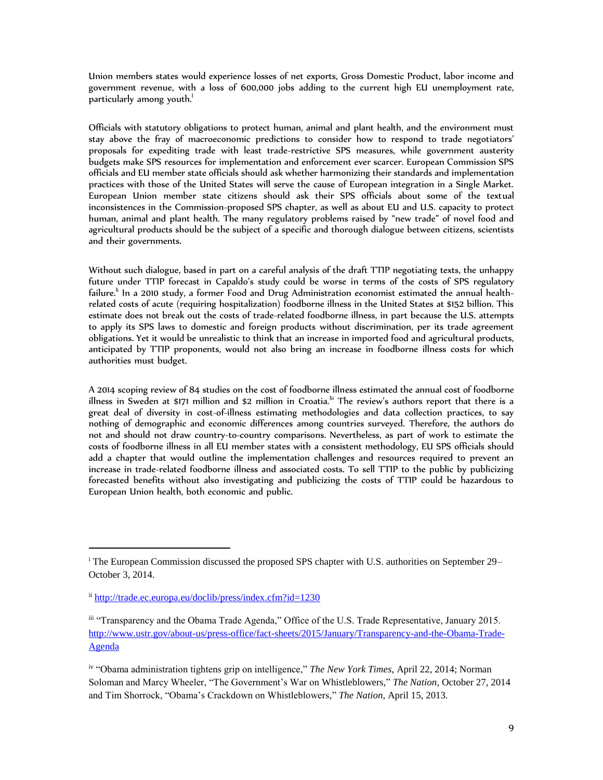Union members states would experience losses of net exports, Gross Domestic Product, labor income and government revenue, with a loss of 600,000 jobs adding to the current high EU unemployment rate, particularly among youth.<sup>1</sup>

Officials with statutory obligations to protect human, animal and plant health, and the environment must stay above the fray of macroeconomic predictions to consider how to respond to trade negotiators' proposals for expediting trade with least trade-restrictive SPS measures, while government austerity budgets make SPS resources for implementation and enforcement ever scarcer. European Commission SPS officials and EU member state officials should ask whether harmonizing their standards and implementation practices with those of the United States will serve the cause of European integration in a Single Market. European Union member state citizens should ask their SPS officials about some of the textual inconsistences in the Commission-proposed SPS chapter, as well as about EU and U.S. capacity to protect human, animal and plant health. The many regulatory problems raised by "new trade" of novel food and agricultural products should be the subject of a specific and thorough dialogue between citizens, scientists and their governments.

Without such dialogue, based in part on a careful analysis of the draft TTIP negotiating texts, the unhappy future under TTIP forecast in Capaldo's study could be worse in terms of the costs of SPS regulatory failure.<sup>li</sup> In a 2010 study, a former Food and Drug Administration economist estimated the annual healthrelated costs of acute (requiring hospitalization) foodborne illness in the United States at \$152 billion. This estimate does not break out the costs of trade-related foodborne illness, in part because the U.S. attempts to apply its SPS laws to domestic and foreign products without discrimination, per its trade agreement obligations. Yet it would be unrealistic to think that an increase in imported food and agricultural products, anticipated by TTIP proponents, would not also bring an increase in foodborne illness costs for which authorities must budget.

A 2014 scoping review of 84 studies on the cost of foodborne illness estimated the annual cost of foodborne illness in Sweden at \$171 million and \$2 million in Croatia.<sup>ii</sup> The review's authors report that there is a great deal of diversity in cost-of-illness estimating methodologies and data collection practices, to say nothing of demographic and economic differences among countries surveyed. Therefore, the authors do not and should not draw country-to-country comparisons. Nevertheless, as part of work to estimate the costs of foodborne illness in all EU member states with a consistent methodology, EU SPS officials should add a chapter that would outline the implementation challenges and resources required to prevent an increase in trade-related foodborne illness and associated costs. To sell TTIP to the public by publicizing forecasted benefits without also investigating and publicizing the costs of TTIP could be hazardous to European Union health, both economic and public.

I

<sup>i</sup> The European Commission discussed the proposed SPS chapter with U.S. authorities on September 29– October 3, 2014.

ii <http://trade.ec.europa.eu/doclib/press/index.cfm?id=1230>

iii "Transparency and the Obama Trade Agenda," Office of the U.S. Trade Representative, January 2015. [http://www.ustr.gov/about-us/press-office/fact-sheets/2015/January/Transparency-and-the-Obama-Trade-](http://www.ustr.gov/about-us/press-office/fact-sheets/2015/January/Transparency-and-the-Obama-Trade-Agenda)[Agenda](http://www.ustr.gov/about-us/press-office/fact-sheets/2015/January/Transparency-and-the-Obama-Trade-Agenda)

iv "Obama administration tightens grip on intelligence," *The New York Times*, April 22, 2014; Norman Soloman and Marcy Wheeler, "The Government's War on Whistleblowers," *The Nation*, October 27, 2014 and Tim Shorrock, "Obama's Crackdown on Whistleblowers," *The Nation*, April 15, 2013.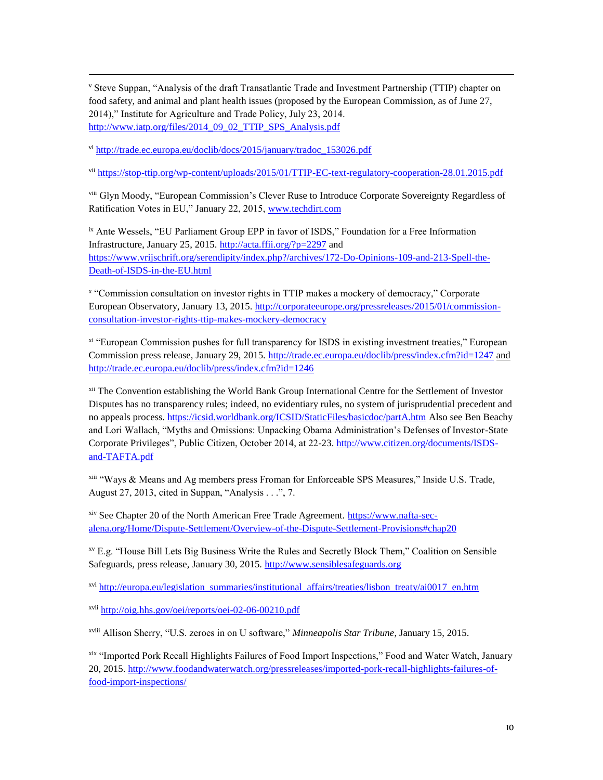<sup>v</sup> Steve Suppan, "Analysis of the draft Transatlantic Trade and Investment Partnership (TTIP) chapter on food safety, and animal and plant health issues (proposed by the European Commission, as of June 27, 2014)," Institute for Agriculture and Trade Policy, July 23, 2014. [http://www.iatp.org/files/2014\\_09\\_02\\_TTIP\\_SPS\\_Analysis.pdf](http://www.iatp.org/files/2014_09_02_TTIP_SPS_Analysis.pdf)

vi [http://trade.ec.europa.eu/doclib/docs/2015/january/tradoc\\_153026.pdf](http://trade.ec.europa.eu/doclib/docs/2015/january/tradoc_153026.pdf)

I

vii <https://stop-ttip.org/wp-content/uploads/2015/01/TTIP-EC-text-regulatory-cooperation-28.01.2015.pdf>

viii Glyn Moody, "European Commission's Clever Ruse to Introduce Corporate Sovereignty Regardless of Ratification Votes in EU," January 22, 2015, [www.techdirt.com](http://www.techdirt.com/)

ix Ante Wessels, "EU Parliament Group EPP in favor of ISDS," Foundation for a Free Information Infrastructure, January 25, 2015.<http://acta.ffii.org/?p=2297> and [https://www.vrijschrift.org/serendipity/index.php?/archives/172-Do-Opinions-109-and-213-Spell-the-](https://www.vrijschrift.org/serendipity/index.php?/archives/172-Do-Opinions-109-and-213-Spell-the-Death-of-ISDS-in-the-EU.html)[Death-of-ISDS-in-the-EU.html](https://www.vrijschrift.org/serendipity/index.php?/archives/172-Do-Opinions-109-and-213-Spell-the-Death-of-ISDS-in-the-EU.html)

x "Commission consultation on investor rights in TTIP makes a mockery of democracy," Corporate European Observatory, January 13, 2015. [http://corporateeurope.org/pressreleases/2015/01/commission](http://corporateeurope.org/pressreleases/2015/01/commission-consultation-investor-rights-ttip-makes-mockery-democracy)[consultation-investor-rights-ttip-makes-mockery-democracy](http://corporateeurope.org/pressreleases/2015/01/commission-consultation-investor-rights-ttip-makes-mockery-democracy)

xi "European Commission pushes for full transparency for ISDS in existing investment treaties," European Commission press release, January 29, 2015.<http://trade.ec.europa.eu/doclib/press/index.cfm?id=1247> and <http://trade.ec.europa.eu/doclib/press/index.cfm?id=1246>

xii The Convention establishing the World Bank Group International Centre for the Settlement of Investor Disputes has no transparency rules; indeed, no evidentiary rules, no system of jurisprudential precedent and no appeals process.<https://icsid.worldbank.org/ICSID/StaticFiles/basicdoc/partA.htm> Also see Ben Beachy and Lori Wallach, "Myths and Omissions: Unpacking Obama Administration's Defenses of Investor-State Corporate Privileges", Public Citizen, October 2014, at 22-23. [http://www.citizen.org/documents/ISDS](http://www.citizen.org/documents/ISDS-and-TAFTA.pdf)[and-TAFTA.pdf](http://www.citizen.org/documents/ISDS-and-TAFTA.pdf)

xiii "Ways & Means and Ag members press Froman for Enforceable SPS Measures," Inside U.S. Trade, August 27, 2013, cited in Suppan, "Analysis  $\dots$ ", 7.

xiv See Chapter 20 of the North American Free Trade Agreement. [https://www.nafta-sec](https://www.nafta-sec-alena.org/Home/Dispute-Settlement/Overview-of-the-Dispute-Settlement-Provisions#chap20)[alena.org/Home/Dispute-Settlement/Overview-of-the-Dispute-Settlement-Provisions#chap20](https://www.nafta-sec-alena.org/Home/Dispute-Settlement/Overview-of-the-Dispute-Settlement-Provisions#chap20)

xv E.g. "House Bill Lets Big Business Write the Rules and Secretly Block Them," Coalition on Sensible Safeguards, press release, January 30, 2015. [http://www.sensiblesafeguards.org](http://www.sensiblesafeguards.org/)

xvi [http://europa.eu/legislation\\_summaries/institutional\\_affairs/treaties/lisbon\\_treaty/ai0017\\_en.htm](http://europa.eu/legislation_summaries/institutional_affairs/treaties/lisbon_treaty/ai0017_en.htm)

xvii <http://oig.hhs.gov/oei/reports/oei-02-06-00210.pdf>

xviii Allison Sherry, "U.S. zeroes in on U software," *Minneapolis Star Tribune*, January 15, 2015.

xix "Imported Pork Recall Highlights Failures of Food Import Inspections," Food and Water Watch, January 20, 2015. [http://www.foodandwaterwatch.org/pressreleases/imported-pork-recall-highlights-failures-of](http://www.foodandwaterwatch.org/pressreleases/imported-pork-recall-highlights-failures-of-food-import-inspections/)[food-import-inspections/](http://www.foodandwaterwatch.org/pressreleases/imported-pork-recall-highlights-failures-of-food-import-inspections/)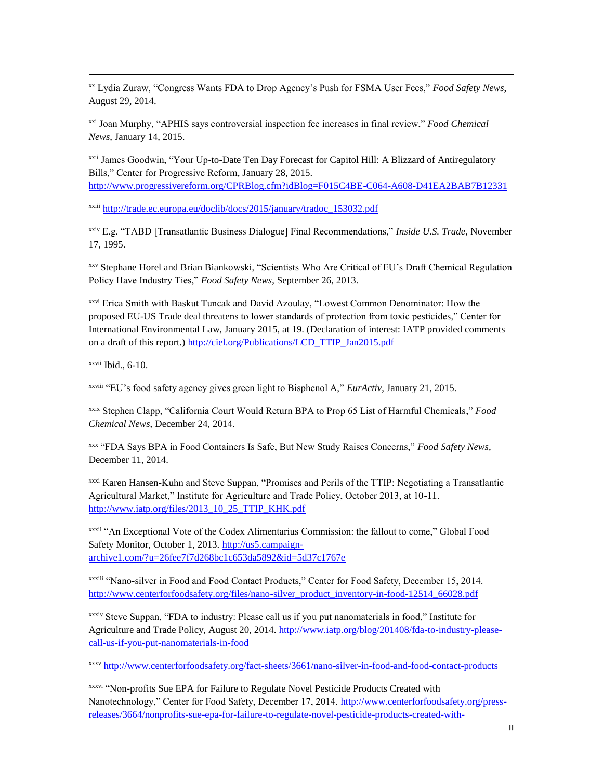xx Lydia Zuraw, "Congress Wants FDA to Drop Agency's Push for FSMA User Fees," *Food Safety News*, August 29, 2014.

xxi Joan Murphy, "APHIS says controversial inspection fee increases in final review," *Food Chemical News*, January 14, 2015.

xxii James Goodwin, "Your Up-to-Date Ten Day Forecast for Capitol Hill: A Blizzard of Antiregulatory Bills," Center for Progressive Reform, January 28, 2015. <http://www.progressivereform.org/CPRBlog.cfm?idBlog=F015C4BE-C064-A608-D41EA2BAB7B12331>

xxiii [http://trade.ec.europa.eu/doclib/docs/2015/january/tradoc\\_153032.pdf](http://trade.ec.europa.eu/doclib/docs/2015/january/tradoc_153032.pdf)

xxiv E.g. "TABD [Transatlantic Business Dialogue] Final Recommendations," *Inside U.S. Trade*, November 17, 1995.

xxv Stephane Horel and Brian Biankowski, "Scientists Who Are Critical of EU's Draft Chemical Regulation Policy Have Industry Ties," *Food Safety News*, September 26, 2013.

xxvi Erica Smith with Baskut Tuncak and David Azoulay, "Lowest Common Denominator: How the proposed EU-US Trade deal threatens to lower standards of protection from toxic pesticides," Center for International Environmental Law, January 2015, at 19. (Declaration of interest: IATP provided comments on a draft of this report.) [http://ciel.org/Publications/LCD\\_TTIP\\_Jan2015.pdf](http://ciel.org/Publications/LCD_TTIP_Jan2015.pdf)

 $x$ <sup>xxvii</sup> Ibid., 6-10.

I

xxviii "EU's food safety agency gives green light to Bisphenol A," *EurActiv*, January 21, 2015.

xxix Stephen Clapp, "California Court Would Return BPA to Prop 65 List of Harmful Chemicals," *Food Chemical News*, December 24, 2014.

xxx "FDA Says BPA in Food Containers Is Safe, But New Study Raises Concerns," *Food Safety News*, December 11, 2014.

xxxi Karen Hansen-Kuhn and Steve Suppan, "Promises and Perils of the TTIP: Negotiating a Transatlantic Agricultural Market," Institute for Agriculture and Trade Policy, October 2013, at 10-11. [http://www.iatp.org/files/2013\\_10\\_25\\_TTIP\\_KHK.pdf](http://www.iatp.org/files/2013_10_25_TTIP_KHK.pdf)

xxxii "An Exceptional Vote of the Codex Alimentarius Commission: the fallout to come," Global Food Safety Monitor, October 1, 2013[. http://us5.campaign](http://us5.campaign-archive1.com/?u=26fee7f7d268bc1c653da5892&id=5d37c1767e)[archive1.com/?u=26fee7f7d268bc1c653da5892&id=5d37c1767e](http://us5.campaign-archive1.com/?u=26fee7f7d268bc1c653da5892&id=5d37c1767e)

xxxiii "Nano-silver in Food and Food Contact Products," Center for Food Safety, December 15, 2014. [http://www.centerforfoodsafety.org/files/nano-silver\\_product\\_inventory-in-food-12514\\_66028.pdf](http://www.centerforfoodsafety.org/files/nano-silver_product_inventory-in-food-12514_66028.pdf)

xxxiv Steve Suppan, "FDA to industry: Please call us if you put nanomaterials in food," Institute for Agriculture and Trade Policy, August 20, 2014. [http://www.iatp.org/blog/201408/fda-to-industry-please](http://www.iatp.org/blog/201408/fda-to-industry-please-call-us-if-you-put-nanomaterials-in-food)[call-us-if-you-put-nanomaterials-in-food](http://www.iatp.org/blog/201408/fda-to-industry-please-call-us-if-you-put-nanomaterials-in-food)

xxxv <http://www.centerforfoodsafety.org/fact-sheets/3661/nano-silver-in-food-and-food-contact-products>

xxxvi "Non-profits Sue EPA for Failure to Regulate Novel Pesticide Products Created with Nanotechnology," Center for Food Safety, December 17, 2014. [http://www.centerforfoodsafety.org/press](http://www.centerforfoodsafety.org/press-releases/3664/nonprofits-sue-epa-for-failure-to-regulate-novel-pesticide-products-created-with-nanotechnology)[releases/3664/nonprofits-sue-epa-for-failure-to-regulate-novel-pesticide-products-created-with-](http://www.centerforfoodsafety.org/press-releases/3664/nonprofits-sue-epa-for-failure-to-regulate-novel-pesticide-products-created-with-nanotechnology)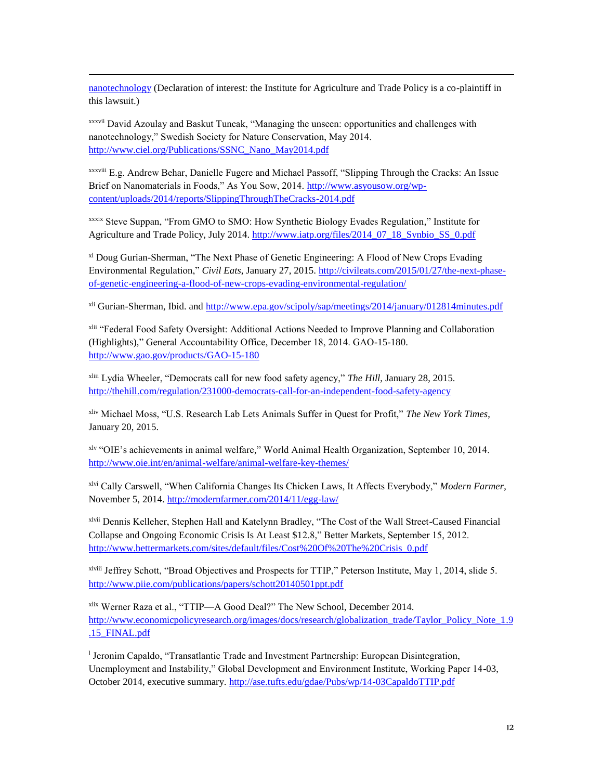[nanotechnology](http://www.centerforfoodsafety.org/press-releases/3664/nonprofits-sue-epa-for-failure-to-regulate-novel-pesticide-products-created-with-nanotechnology) (Declaration of interest: the Institute for Agriculture and Trade Policy is a co-plaintiff in this lawsuit.)

xxxvii David Azoulay and Baskut Tuncak, "Managing the unseen: opportunities and challenges with nanotechnology," Swedish Society for Nature Conservation, May 2014. [http://www.ciel.org/Publications/SSNC\\_Nano\\_May2014.pdf](http://www.ciel.org/Publications/SSNC_Nano_May2014.pdf)

I

xxxviii E.g. Andrew Behar, Danielle Fugere and Michael Passoff, "Slipping Through the Cracks: An Issue Brief on Nanomaterials in Foods," As You Sow, 2014. [http://www.asyousow.org/wp](http://www.asyousow.org/wp-content/uploads/2014/reports/SlippingThroughTheCracks-2014.pdf)[content/uploads/2014/reports/SlippingThroughTheCracks-2014.pdf](http://www.asyousow.org/wp-content/uploads/2014/reports/SlippingThroughTheCracks-2014.pdf)

xxxix Steve Suppan, "From GMO to SMO: How Synthetic Biology Evades Regulation," Institute for Agriculture and Trade Policy, July 2014. [http://www.iatp.org/files/2014\\_07\\_18\\_Synbio\\_SS\\_0.pdf](http://www.iatp.org/files/2014_07_18_Synbio_SS_0.pdf)

xl Doug Gurian-Sherman, "The Next Phase of Genetic Engineering: A Flood of New Crops Evading Environmental Regulation," *Civil Eats*, January 27, 2015[. http://civileats.com/2015/01/27/the-next-phase](http://civileats.com/2015/01/27/the-next-phase-of-genetic-engineering-a-flood-of-new-crops-evading-environmental-regulation/)[of-genetic-engineering-a-flood-of-new-crops-evading-environmental-regulation/](http://civileats.com/2015/01/27/the-next-phase-of-genetic-engineering-a-flood-of-new-crops-evading-environmental-regulation/)

xli Gurian-Sherman, Ibid. and<http://www.epa.gov/scipoly/sap/meetings/2014/january/012814minutes.pdf>

xlii "Federal Food Safety Oversight: Additional Actions Needed to Improve Planning and Collaboration (Highlights)," General Accountability Office, December 18, 2014. GAO-15-180. <http://www.gao.gov/products/GAO-15-180>

xliii Lydia Wheeler, "Democrats call for new food safety agency," *The Hill*, January 28, 2015. <http://thehill.com/regulation/231000-democrats-call-for-an-independent-food-safety-agency>

xliv Michael Moss, "U.S. Research Lab Lets Animals Suffer in Quest for Profit," *The New York Times*, January 20, 2015.

xlv "OIE's achievements in animal welfare," World Animal Health Organization, September 10, 2014. <http://www.oie.int/en/animal-welfare/animal-welfare-key-themes/>

xlvi Cally Carswell, "When California Changes Its Chicken Laws, It Affects Everybody," *Modern Farmer*, November 5, 2014[. http://modernfarmer.com/2014/11/egg-law/](http://modernfarmer.com/2014/11/egg-law/)

xlvii Dennis Kelleher, Stephen Hall and Katelynn Bradley, "The Cost of the Wall Street-Caused Financial Collapse and Ongoing Economic Crisis Is At Least \$12.8," Better Markets, September 15, 2012. [http://www.bettermarkets.com/sites/default/files/Cost%20Of%20The%20Crisis\\_0.pdf](http://www.bettermarkets.com/sites/default/files/Cost%20Of%20The%20Crisis_0.pdf)

xlviii Jeffrey Schott, "Broad Objectives and Prospects for TTIP," Peterson Institute, May 1, 2014, slide 5. <http://www.piie.com/publications/papers/schott20140501ppt.pdf>

xlix Werner Raza et al., "TTIP—A Good Deal?" The New School, December 2014. [http://www.economicpolicyresearch.org/images/docs/research/globalization\\_trade/Taylor\\_Policy\\_Note\\_1.9](http://www.economicpolicyresearch.org/images/docs/research/globalization_trade/Taylor_Policy_Note_1.9.15_FINAL.pdf) [.15\\_FINAL.pdf](http://www.economicpolicyresearch.org/images/docs/research/globalization_trade/Taylor_Policy_Note_1.9.15_FINAL.pdf)

l Jeronim Capaldo, "Transatlantic Trade and Investment Partnership: European Disintegration, Unemployment and Instability," Global Development and Environment Institute, Working Paper 14-03, October 2014, executive summary[. http://ase.tufts.edu/gdae/Pubs/wp/14-03CapaldoTTIP.pdf](http://ase.tufts.edu/gdae/Pubs/wp/14-03CapaldoTTIP.pdf)